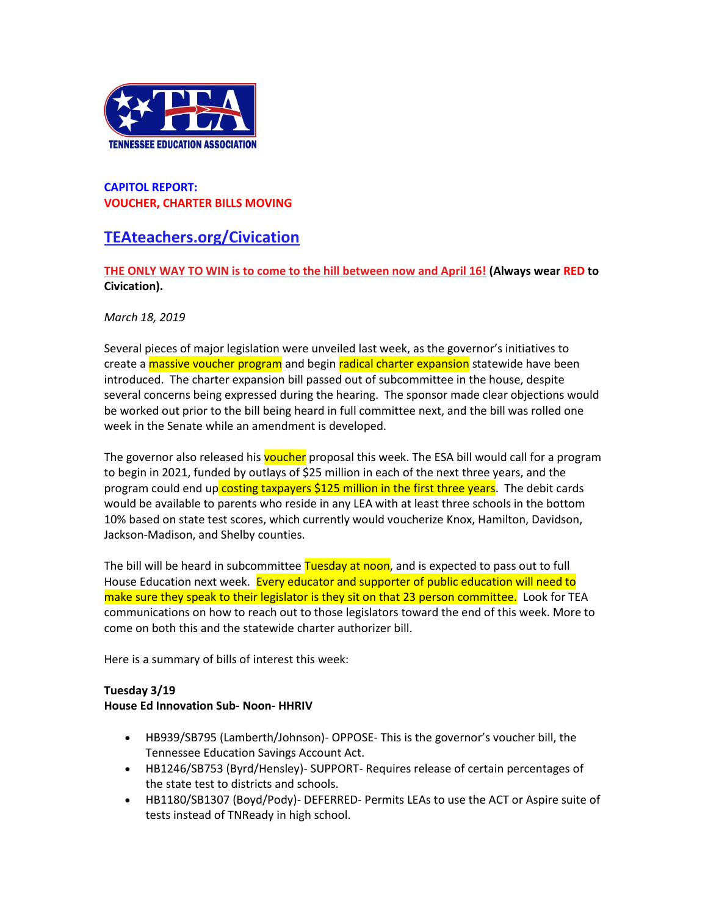

#### **CAPITOL REPORT: VOUCHER, CHARTER BILLS MOVING**

# **[TEAteachers.org/Civication](http://teateachers.org/Civication)**

### **[THE ONLY WAY TO WIN is to come to the hill between now and April 16!](http://www.teateachers.org/tea-civication-registration) (Always wear RED to Civication).**

#### *March 18, 2019*

Several pieces of major legislation were unveiled last week, as the governor's initiatives to create a **massive voucher program** and begin radical charter expansion statewide have been introduced. The charter expansion bill passed out of subcommittee in the house, despite several concerns being expressed during the hearing. The sponsor made clear objections would be worked out prior to the bill being heard in full committee next, and the bill was rolled one week in the Senate while an amendment is developed.

The governor also released his voucher proposal this week. The ESA bill would call for a program to begin in 2021, funded by outlays of \$25 million in each of the next three years, and the program could end up costing taxpayers \$125 million in the first three years. The debit cards would be available to parents who reside in any LEA with at least three schools in the bottom 10% based on state test scores, which currently would voucherize Knox, Hamilton, Davidson, Jackson-Madison, and Shelby counties.

The bill will be heard in subcommittee Tuesday at noon, and is expected to pass out to full House Education next week. Every educator and supporter of public education will need to make sure they speak to their legislator is they sit on that 23 person committee. Look for TEA communications on how to reach out to those legislators toward the end of this week. More to come on both this and the statewide charter authorizer bill.

Here is a summary of bills of interest this week:

## **Tuesday 3/19**

#### **House Ed Innovation Sub- Noon- HHRIV**

- HB939/SB795 (Lamberth/Johnson)- OPPOSE- This is the governor's voucher bill, the Tennessee Education Savings Account Act.
- HB1246/SB753 (Byrd/Hensley)- SUPPORT- Requires release of certain percentages of the state test to districts and schools.
- HB1180/SB1307 (Boyd/Pody)- DEFERRED- Permits LEAs to use the ACT or Aspire suite of tests instead of TNReady in high school.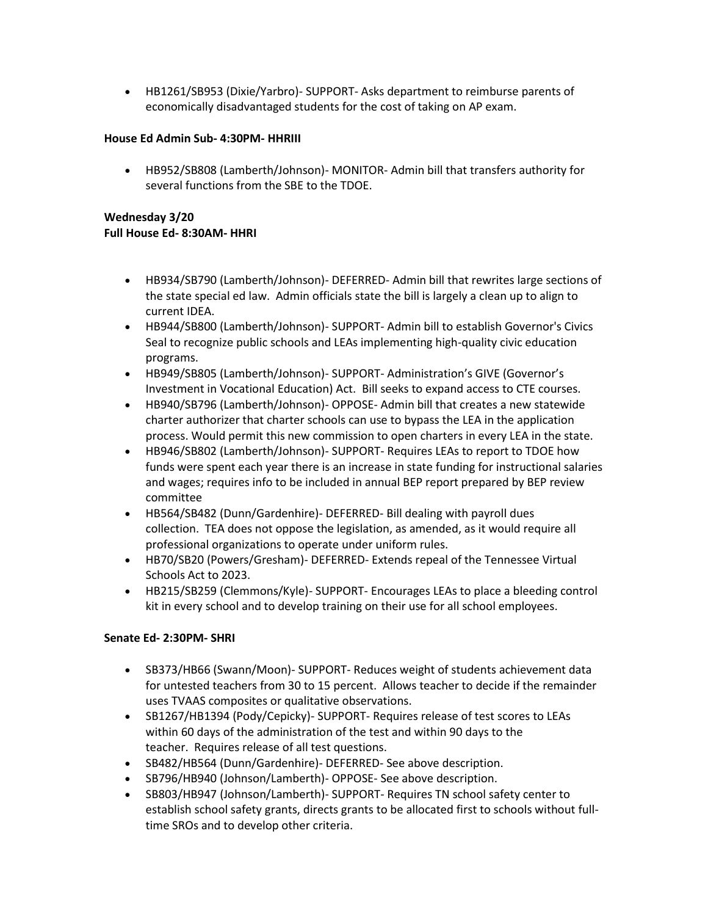• HB1261/SB953 (Dixie/Yarbro)- SUPPORT- Asks department to reimburse parents of economically disadvantaged students for the cost of taking on AP exam.

#### **House Ed Admin Sub- 4:30PM- HHRIII**

• HB952/SB808 (Lamberth/Johnson)- MONITOR- Admin bill that transfers authority for several functions from the SBE to the TDOE.

### **Wednesday 3/20 Full House Ed- 8:30AM- HHRI**

- HB934/SB790 (Lamberth/Johnson)- DEFERRED- Admin bill that rewrites large sections of the state special ed law. Admin officials state the bill is largely a clean up to align to current IDEA.
- HB944/SB800 (Lamberth/Johnson)- SUPPORT- Admin bill to establish Governor's Civics Seal to recognize public schools and LEAs implementing high-quality civic education programs.
- HB949/SB805 (Lamberth/Johnson)- SUPPORT- Administration's GIVE (Governor's Investment in Vocational Education) Act. Bill seeks to expand access to CTE courses.
- HB940/SB796 (Lamberth/Johnson)- OPPOSE- Admin bill that creates a new statewide charter authorizer that charter schools can use to bypass the LEA in the application process. Would permit this new commission to open charters in every LEA in the state.
- HB946/SB802 (Lamberth/Johnson)- SUPPORT- Requires LEAs to report to TDOE how funds were spent each year there is an increase in state funding for instructional salaries and wages; requires info to be included in annual BEP report prepared by BEP review committee
- HB564/SB482 (Dunn/Gardenhire)- DEFERRED- Bill dealing with payroll dues collection. TEA does not oppose the legislation, as amended, as it would require all professional organizations to operate under uniform rules.
- HB70/SB20 (Powers/Gresham)- DEFERRED- Extends repeal of the Tennessee Virtual Schools Act to 2023.
- HB215/SB259 (Clemmons/Kyle)- SUPPORT- Encourages LEAs to place a bleeding control kit in every school and to develop training on their use for all school employees.

#### **Senate Ed- 2:30PM- SHRI**

- SB373/HB66 (Swann/Moon)- SUPPORT- Reduces weight of students achievement data for untested teachers from 30 to 15 percent. Allows teacher to decide if the remainder uses TVAAS composites or qualitative observations.
- SB1267/HB1394 (Pody/Cepicky)- SUPPORT- Requires release of test scores to LEAs within 60 days of the administration of the test and within 90 days to the teacher. Requires release of all test questions.
- SB482/HB564 (Dunn/Gardenhire)- DEFERRED- See above description.
- SB796/HB940 (Johnson/Lamberth)- OPPOSE- See above description.
- SB803/HB947 (Johnson/Lamberth)- SUPPORT- Requires TN school safety center to establish school safety grants, directs grants to be allocated first to schools without fulltime SROs and to develop other criteria.